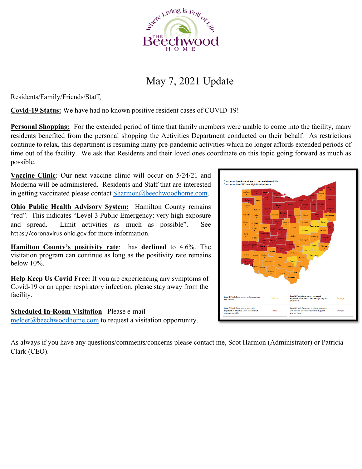

# May 7, 2021 Update

Residents/Family/Friends/Staff,

**Covid-19 Status:** We have had no known positive resident cases of COVID-19!

**Personal Shopping:** For the extended period of time that family members were unable to come into the facility, many residents benefited from the personal shopping the Activities Department conducted on their behalf. As restrictions continue to relax, this department is resuming many pre-pandemic activities which no longer affords extended periods of time out of the facility. We ask that Residents and their loved ones coordinate on this topic going forward as much as possible.

**Vaccine Clinic**: Our next vaccine clinic will occur on 5/24/21 and Moderna will be administered. Residents and Staff that are interested in getting vaccinated please contact Sharmon@beechwoodhome.com.

**Ohio Public Health Advisory System:** Hamilton County remains "red". This indicates "Level 3 Public Emergency: very high exposure and spread. Limit activities as much as possible". See https://coronavirus.ohio.gov for more information.

**Hamilton County's positivity rate**: has **declined** to 4.6%. The visitation program can continue as long as the positivity rate remains below 10%.

**Help Keep Us Covid Free:** If you are experiencing any symptoms of Covid-19 or an upper respiratory infection, please stay away from the facility.

**Scheduled In-Room Visitation** Please e-mail melder@beechwoodhome.com to request a visitation opportunity.

As always if you have any questions/comments/concerns please contact me, Scot Harmon (Administrator) or Patricia Clark (CEO).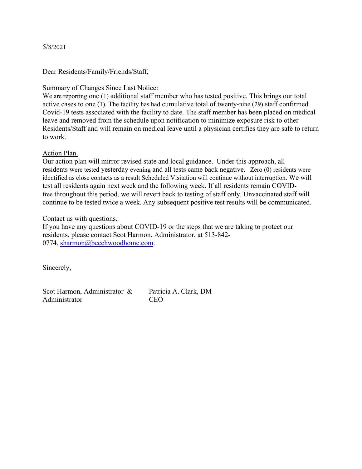#### 5/8/2021

Dear Residents/Family/Friends/Staff,

### Summary of Changes Since Last Notice:

We are reporting one (1) additional staff member who has tested positive. This brings our total active cases to one (1). The facility has had cumulative total of twenty-nine (29) staff confirmed Covid-19 tests associated with the facility to date. The staff member has been placed on medical leave and removed from the schedule upon notification to minimize exposure risk to other Residents/Staff and will remain on medical leave until a physician certifies they are safe to return to work.

### Action Plan.

Our action plan will mirror revised state and local guidance. Under this approach, all residents were tested yesterday evening and all tests came back negative. Zero (0) residents were identified as close contacts as a result Scheduled Visitation will continue without interruption. We will test all residents again next week and the following week. If all residents remain COVIDfree throughout this period, we will revert back to testing of staff only. Unvaccinated staff will continue to be tested twice a week. Any subsequent positive test results will be communicated.

#### Contact us with questions.

If you have any questions about COVID-19 or the steps that we are taking to protect our residents, please contact Scot Harmon, Administrator, at 513-842- 0774, sharmon@beechwoodhome.com.

Sincerely,

Scot Harmon, Administrator & Patricia A. Clark, DM Administrator CEO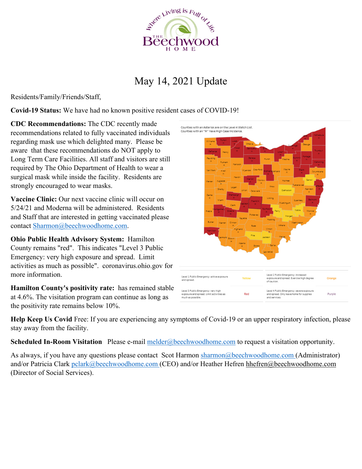

## May 14, 2021 Update

Residents/Family/Friends/Staff,

**Covid-19 Status:** We have had no known positive resident cases of COVID-19!

**CDC Recommendations:** The CDC recently made recommendations related to fully vaccinated individuals regarding mask use which delighted many. Please be aware that these recommendations do NOT apply to Long Term Care Facilities. All staff and visitors are still required by The Ohio Department of Health to wear a surgical mask while inside the facility. Residents are strongly encouraged to wear masks.

**Vaccine Clinic:** Our next vaccine clinic will occur on 5/24/21 and Moderna will be administered. Residents and Staff that are interested in getting vaccinated please contact Sharmon@beechwoodhome.com.

**Ohio Public Health Advisory System:** Hamilton County remains "red". This indicates "Level 3 Public Emergency: very high exposure and spread. Limit activities as much as possible". coronavirus.ohio.gov for more information.

**Hamilton County's positivity rate:** has remained stable at 4.6%. The visitation program can continue as long as the positivity rate remains below 10%.



**Help Keep Us Covid** Free: If you are experiencing any symptoms of Covid-19 or an upper respiratory infection, please stay away from the facility.

**Scheduled In-Room Visitation** Please e-mail melder@beechwoodhome.com to request a visitation opportunity.

As always, if you have any questions please contact Scot Harmon sharmon @beechwoodhome.com (Administrator) and/or Patricia Clark pclark@beechwoodhome.com (CEO) and/or Heather Hefren hhefren@beechwoodhome.com (Director of Social Services).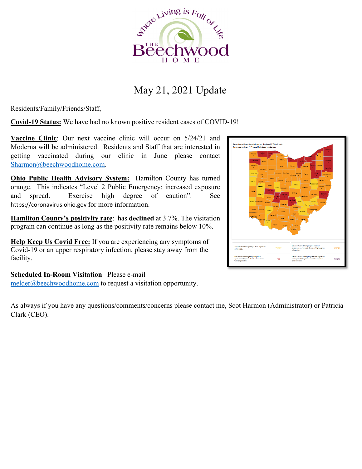

## May 21, 2021 Update

Residents/Family/Friends/Staff,

**Covid-19 Status:** We have had no known positive resident cases of COVID-19!

**Vaccine Clinic**: Our next vaccine clinic will occur on 5/24/21 and Moderna will be administered. Residents and Staff that are interested in getting vaccinated during our clinic in June please contact Sharmon@beechwoodhome.com.

**Ohio Public Health Advisory System:** Hamilton County has turned orange. This indicates "Level 2 Public Emergency: increased exposure and spread. Exercise high degree of caution". See https://coronavirus.ohio.gov for more information.

**Hamilton County's positivity rate**: has **declined** at 3.7%. The visitation program can continue as long as the positivity rate remains below 10%.

**Help Keep Us Covid Free:** If you are experiencing any symptoms of Covid-19 or an upper respiratory infection, please stay away from the facility.

**Scheduled In-Room Visitation** Please e-mail melder@beechwoodhome.com to request a visitation opportunity.

As always if you have any questions/comments/concerns please contact me, Scot Harmon (Administrator) or Patricia Clark (CEO).